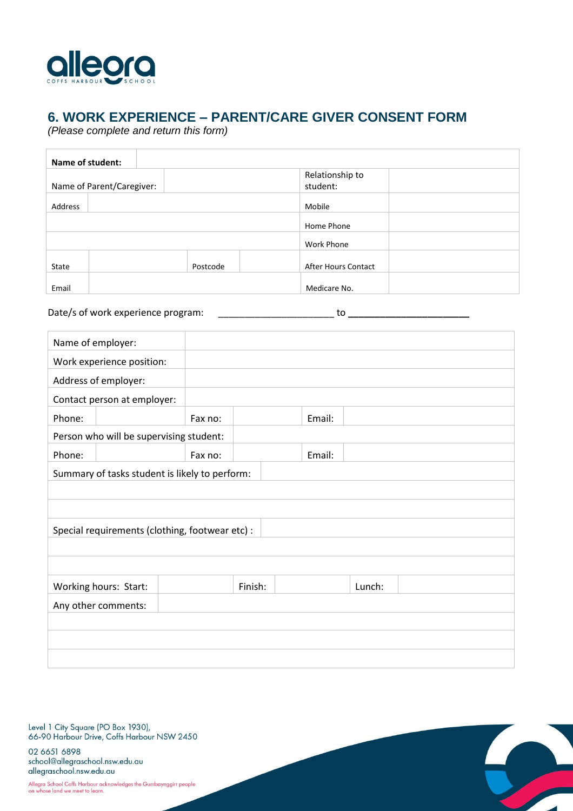

## **6. WORK EXPERIENCE – PARENT/CARE GIVER CONSENT FORM**

*(Please complete and return this form)*

| Name of student:          |  |          |                            |  |  |
|---------------------------|--|----------|----------------------------|--|--|
|                           |  |          | Relationship to            |  |  |
| Name of Parent/Caregiver: |  |          | student:                   |  |  |
| Address                   |  |          | Mobile                     |  |  |
|                           |  |          | Home Phone                 |  |  |
|                           |  |          | Work Phone                 |  |  |
| State                     |  | Postcode | <b>After Hours Contact</b> |  |  |
| Email                     |  |          | Medicare No.               |  |  |

Date/s of work experience program: \_\_\_\_\_\_\_\_\_\_\_\_\_\_\_\_\_\_\_\_\_\_\_\_\_\_\_\_\_\_\_ to \_\_\_\_\_

| Name of employer:                               |                                                |         |         |        |        |  |  |
|-------------------------------------------------|------------------------------------------------|---------|---------|--------|--------|--|--|
|                                                 | Work experience position:                      |         |         |        |        |  |  |
|                                                 | Address of employer:                           |         |         |        |        |  |  |
|                                                 | Contact person at employer:                    |         |         |        |        |  |  |
| Phone:                                          |                                                | Fax no: |         | Email: |        |  |  |
|                                                 | Person who will be supervising student:        |         |         |        |        |  |  |
| Phone:                                          |                                                | Fax no: |         | Email: |        |  |  |
|                                                 | Summary of tasks student is likely to perform: |         |         |        |        |  |  |
|                                                 |                                                |         |         |        |        |  |  |
|                                                 |                                                |         |         |        |        |  |  |
| Special requirements (clothing, footwear etc) : |                                                |         |         |        |        |  |  |
|                                                 |                                                |         |         |        |        |  |  |
|                                                 |                                                |         |         |        |        |  |  |
|                                                 |                                                |         | Finish: |        | Lunch: |  |  |
|                                                 | Working hours: Start:                          |         |         |        |        |  |  |
|                                                 | Any other comments:                            |         |         |        |        |  |  |
|                                                 |                                                |         |         |        |        |  |  |
|                                                 |                                                |         |         |        |        |  |  |
|                                                 |                                                |         |         |        |        |  |  |
|                                                 |                                                |         |         |        |        |  |  |

Level 1 City Square (PO Box 1930),<br>66-90 Harbour Drive, Coffs Harbour NSW 2450

02 6651 6898 school@allegraschool.nsw.edu.au allegraschool.nsw.edu.au

Allegra School Coffs Harbour acknowledges the Gumbaynggirr people<br>on whose land we meet to learn.